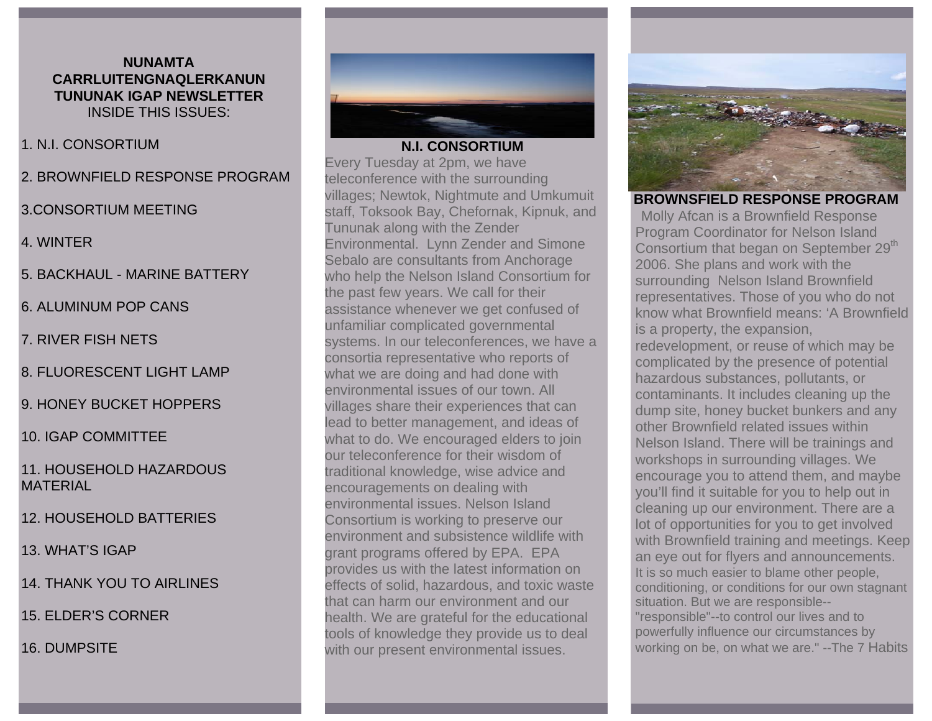### **NUNAMTA CARRLUITENGNAQLERKANUN TUNUNAK IGAP NEWSLETTER** INSIDE THIS ISSUES:

#### 1. N.I. CONSORTIUM

2. BROWNFIELD RESPONSE PROGRAM

### 3.CONSORTIUM MEETING

- 4. WINTER
- 5. BACKHAUL MARINE BATTERY
- 6. ALUMINUM POP CANS
- 7. RIVER FISH NETS
- 8. FLUORESCENT LIGHT LAMP
- 9. HONEY BUCKET HOPPERS
- 10. IGAP COMMITTEE
- 11. HOUSEHOLD HAZARDOUS MATERIAL
- 12. HOUSEHOLD BATTERIES
- 13. WHAT'S IGAP
- 14. THANK YOU TO AIRLINES
- 15. ELDER'S CORNER
- 16. DUMPSITE



### **N.I. CONSORTIUM**

Every Tuesday at 2pm, we have teleconference with the surrounding villages; Newtok, Nightmute and Umkumuit staff, Toksook Bay, Chefornak, Kipnuk, and Tununak along with the Zender Environmental. Lynn Zender and Simone Sebalo are consultants from Anchorage who help the Nelson Island Consortium for the past few years. We call for their assistance whenever we get confused of unfamiliar complicated governmental systems. In our teleconferences, we have a consortia representative who reports of what we are doing and had done with environmental issues of our town. All villages share their experiences that can lead to better management, and ideas of what to do. We encouraged elders to join our teleconference for their wisdom of traditional knowledge, wise advice and encouragements on dealing with environmental issues. Nelson Island Consortium is working to preserve our environment and subsistence wildlife with grant programs offered by EPA. EPA provides us with the latest information on effects of solid, hazardous, and toxic waste that can harm our environment and our health. We are grateful for the educational tools of knowledge they provide us to deal with our present environmental issues.



**BROWNSFIELD RESPONSE PROGRAM**  Molly Afcan is a Brownfield Response Program Coordinator for Nelson Island Consortium that began on September 29<sup>th</sup> 2006. She plans and work with the surrounding Nelson Island Brownfield representatives. Those of you who do not know what Brownfield means: 'A Brownfield is a property, the expansion, redevelopment, or reuse of which may be complicated by the presence of potential hazardous substances, pollutants, or contaminants. It includes cleaning up the dump site, honey bucket bunkers and any other Brownfield related issues within Nelson Island. There will be trainings and workshops in surrounding villages. We encourage you to attend them, and maybe you'll find it suitable for you to help out in cleaning up our environment. There are a lot of opportunities for you to get involved with Brownfield training and meetings. Keep an eye out for flyers and announcements. It is so much easier to blame other people, conditioning, or conditions for our own stagnant situation. But we are responsible-- "responsible"--to control our lives and to powerfully influence our circumstances by working on be, on what we are." --The 7 Habits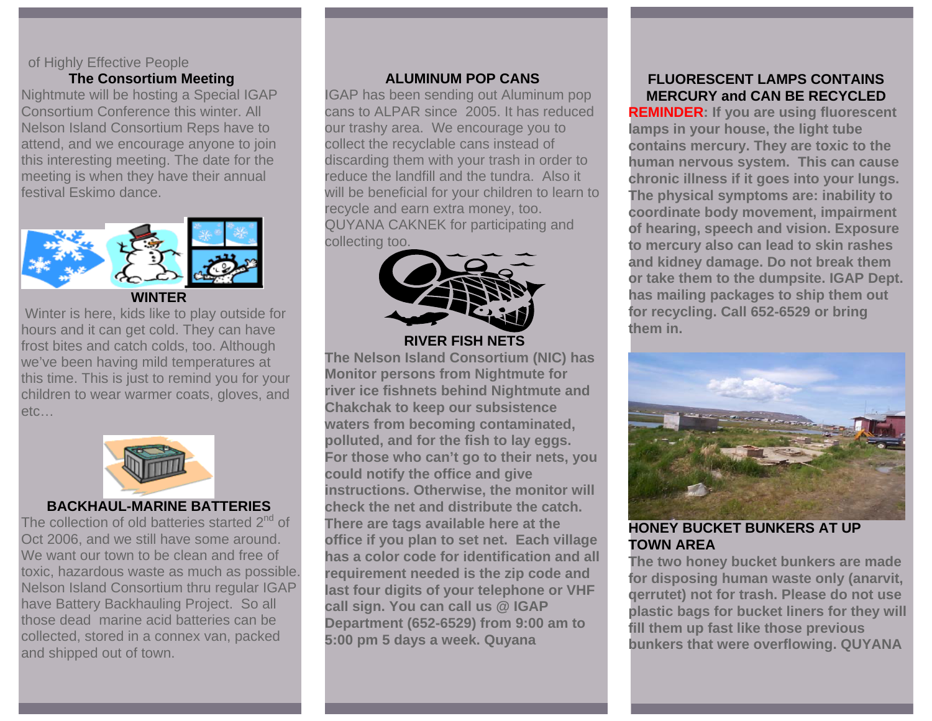### of Highly Effective People

### **The Consortium Meeting**

Nightmute will be hosting a Special IGAP Consortium Conference this winter. All Nelson Island Consortium Reps have to attend, and we encourage anyone to join this interesting meeting. The date for the meeting is when they have their annual festival Eskimo dance.



**WINTER** 

 Winter is here, kids like to play outside for hours and it can get cold. They can have frost bites and catch colds, too. Although we've been having mild temperatures at this time. This is just to remind you for your children to wear warmer coats, gloves, and etc…



### **BACKHAUL-MARINE BATTERIES**

The collection of old batteries started 2<sup>nd</sup> of Oct 2006, and we still have some around. We want our town to be clean and free of toxic, hazardous waste as much as possible. Nelson Island Consortium thru regular IGAP have Battery Backhauling Project. So all those dead marine acid batteries can be collected, stored in a connex van, packed and shipped out of town.

### **ALUMINUM POP CANS**

IGAP has been sending out Aluminum pop cans to ALPAR since 2005. It has reduced our trashy area. We encourage you to collect the recyclable cans instead of discarding them with your trash in order to reduce the landfill and the tundra. Also it will be beneficial for your children to learn to recycle and earn extra money, too. QUYANA CAKNEK for participating and collecting too.



 **RIVER FISH NETS** 

**The Nelson Island Consortium (NIC) has Monitor persons from Nightmute for river ice fishnets behind Nightmute and Chakchak to keep our subsistence waters from becoming contaminated, polluted, and for the fish to lay eggs. For those who can't go to their nets, you could notify the office and give instructions. Otherwise, the monitor will check the net and distribute the catch. There are tags available here at the office if you plan to set net. Each village has a color code for identification and all requirement needed is the zip code and last four digits of your telephone or VHF call sign. You can call us @ IGAP Department (652-6529) from 9:00 am to 5:00 pm 5 days a week. Quyana** 

### **FLUORESCENT LAMPS CONTAINS MERCURY and CAN BE RECYCLED**

**REMINDER: If you are using fluorescent lamps in your house, the light tube contains mercury. They are toxic to the human nervous system. This can cause chronic illness if it goes into your lungs. The physical symptoms are: inability to coordinate body movement, impairment of hearing, speech and vision. Exposure to mercury also can lead to skin rashes and kidney damage. Do not break them or take them to the dumpsite. IGAP Dept. has mailing packages to ship them out for recycling. Call 652-6529 or bring them in.** 



**HONEY BUCKET BUNKERS AT UP TOWN AREA** 

**The two honey bucket bunkers are made for disposing human waste only (anarvit, qerrutet) not for trash. Please do not use plastic bags for bucket liners for they will fill them up fast like those previous bunkers that were overflowing. QUYANA**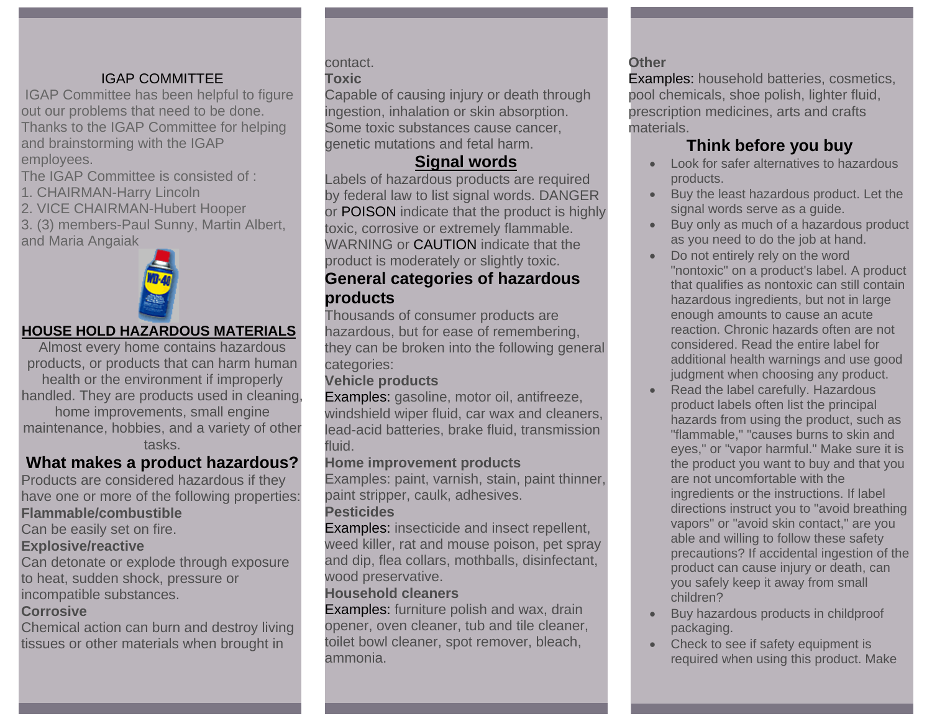### IGAP COMMITTEE

 IGAP Committee has been helpful to figure out our problems that need to be done. Thanks to the IGAP Committee for helping and brainstorming with the IGAP employees.

The IGAP Committee is consisted of :

1. CHAIRMAN-Harry Lincoln

2. VICE CHAIRMAN-Hubert Hooper

3. (3) members-Paul Sunny, Martin Albert, and Maria Angaiak



### **HOUSE HOLD HAZARDOUS MATERIALS**

Almost every home contains hazardous products, or products that can harm human health or the environment if improperly handled. They are products used in cleaning, home improvements, small engine maintenance, hobbies, and a variety of other tasks.

## **What makes a product hazardous?**

Products are considered hazardous if they have one or more of the following properties:

### **Flammable/combustible**

Can be easily set on fire.

#### **Explosive/reactive**

Can detonate or explode through exposure to heat, sudden shock, pressure or incompatible substances.

### **Corrosive**

Chemical action can burn and destroy living tissues or other materials when brought in

# contact.

### **Toxic**

Capable of causing injury or death through ingestion, inhalation or skin absorption. Some toxic substances cause cancer, genetic mutations and fetal harm.

## **Signal words**

Labels of hazardous products are required by federal law to list signal words. DANGER or POISON indicate that the product is highly toxic, corrosive or extremely flammable. WARNING or CAUTION indicate that the product is moderately or slightly toxic.

### **General categories of hazardous products**

Thousands of consumer products are hazardous, but for ease of remembering, they can be broken into the following general categories:

### **Vehicle products**

Examples: gasoline, motor oil, antifreeze, windshield wiper fluid, car wax and cleaners, lead-acid batteries, brake fluid, transmission fluid.

### **Home improvement products**

Examples: paint, varnish, stain, paint thinner, paint stripper, caulk, adhesives.

### **Pesticides**

Examples: insecticide and insect repellent, weed killer, rat and mouse poison, pet spray and dip, flea collars, mothballs, disinfectant, wood preservative.

### **Household cleaners**

Examples: furniture polish and wax, drain opener, oven cleaner, tub and tile cleaner, toilet bowl cleaner, spot remover, bleach, ammonia.

### **Other**

Examples: household batteries, cosmetics, pool chemicals, shoe polish, lighter fluid, prescription medicines, arts and crafts materials.

## **Think before you buy**

- Look for safer alternatives to hazardous products.
- Buy the least hazardous product. Let the signal words serve as a guide.
- Buy only as much of a hazardous product as you need to do the job at hand.
- Do not entirely rely on the word "nontoxic" on a product's label. A product that qualifies as nontoxic can still contain hazardous ingredients, but not in large enough amounts to cause an acute reaction. Chronic hazards often are not considered. Read the entire label for additional health warnings and use good judgment when choosing any product.
- Read the label carefully. Hazardous product labels often list the principal hazards from using the product, such as "flammable," "causes burns to skin and eyes," or "vapor harmful." Make sure it is the product you want to buy and that you are not uncomfortable with the ingredients or the instructions. If label directions instruct you to "avoid breathing vapors" or "avoid skin contact," are you able and willing to follow these safety precautions? If accidental ingestion of the product can cause injury or death, can you safely keep it away from small children?
- Buy hazardous products in childproof packaging.
- • Check to see if safety equipment is required when using this product. Make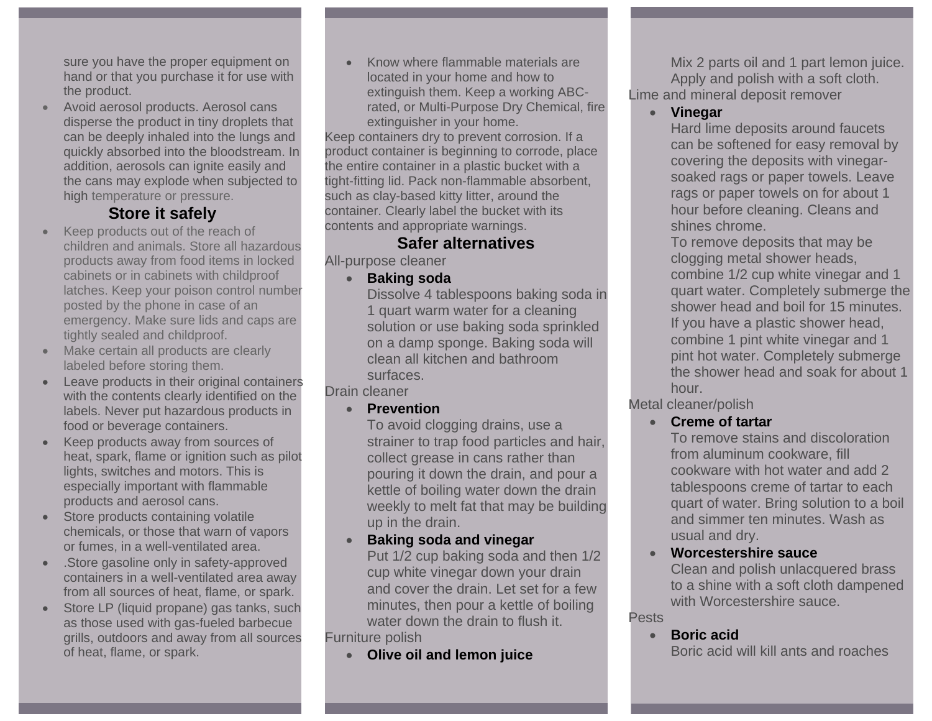sure you have the proper equipment on hand or that you purchase it for use with the product.

• Avoid aerosol products. Aerosol cans disperse the product in tiny droplets that can be deeply inhaled into the lungs and quickly absorbed into the bloodstream. In addition, aerosols can ignite easily and the cans may explode when subjected to high temperature or pressure.

## **Store it safely**

- • Keep products out of the reach of children and animals. Store all hazardous products away from food items in locked cabinets or in cabinets with childproof latches. Keep your poison control number posted by the phone in case of an emergency. Make sure lids and caps are tightly sealed and childproof.
- • Make certain all products are clearly labeled before storing them.
- Leave products in their original containers with the contents clearly identified on the labels. Never put hazardous products in food or beverage containers.
- • Keep products away from sources of heat, spark, flame or ignition such as pilot lights, switches and motors. This is especially important with flammable products and aerosol cans.
- Store products containing volatile chemicals, or those that warn of vapors or fumes, in a well-ventilated area.
- • .Store gasoline only in safety-approved containers in a well-ventilated area away from all sources of heat, flame, or spark.
- • Store LP (liquid propane) gas tanks, such as those used with gas-fueled barbecue grills, outdoors and away from all sources of heat, flame, or spark.

• Know where flammable materials are located in your home and how to extinguish them. Keep a working ABCrated, or Multi-Purpose Dry Chemical, fire extinguisher in your home.

Keep containers dry to prevent corrosion. If a product container is beginning to corrode, place the entire container in a plastic bucket with a tight-fitting lid. Pack non-flammable absorbent, such as clay-based kitty litter, around the container. Clearly label the bucket with its contents and appropriate warnings.

### **Safer alternatives**

All-purpose cleaner

•**Baking soda**

Dissolve 4 tablespoons baking soda in 1 quart warm water for a cleaning solution or use baking soda sprinkled on a damp sponge. Baking soda will clean all kitchen and bathroom surfaces.

Drain cleaner

•**Prevention**

To avoid clogging drains, use a strainer to trap food particles and hair, collect grease in cans rather than pouring it down the drain, and pour a kettle of boiling water down the drain weekly to melt fat that may be building up in the drain.

•**Baking soda and vinegar**

Put 1/2 cup baking soda and then 1/2 cup white vinegar down your drain and cover the drain. Let set for a few minutes, then pour a kettle of boiling water down the drain to flush it. Furniture polish

•**Olive oil and lemon juice**

Mix 2 parts oil and 1 part lemon juice. Apply and polish with a soft cloth. Lime and mineral deposit remover

### • **Vinegar**

Hard lime deposits around faucets can be softened for easy removal by covering the deposits with vinegarsoaked rags or paper towels. Leave rags or paper towels on for about 1 hour before cleaning. Cleans and shines chrome.

To remove deposits that may be clogging metal shower heads, combine 1/2 cup white vinegar and 1 quart water. Completely submerge the shower head and boil for 15 minutes. If you have a plastic shower head, combine 1 pint white vinegar and 1 pint hot water. Completely submerge the shower head and soak for about 1 hour.

- Metal cleaner/polish
	- **Creme of tartar**

To remove stains and discoloration from aluminum cookware, fill cookware with hot water and add 2 tablespoons creme of tartar to each quart of water. Bring solution to a boil and simmer ten minutes. Wash as usual and dry.

• **Worcestershire sauce**Clean and polish unlacquered brass to a shine with a soft cloth dampened

with Worcestershire sauce.

#### Pests

• **Boric acid**

Boric acid will kill ants and roaches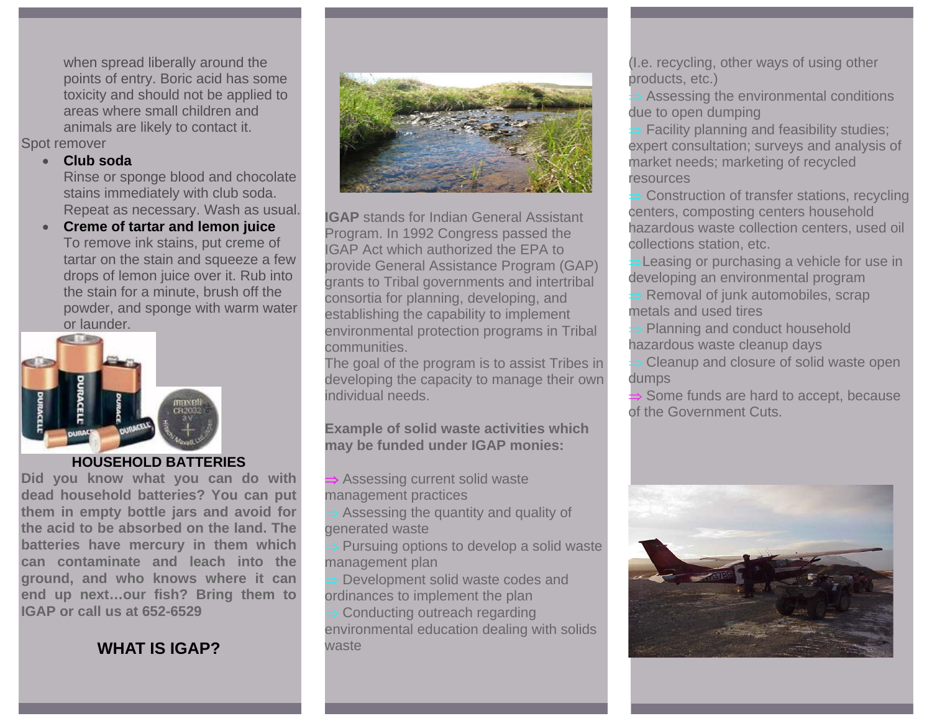when spread liberally around the points of entry. Boric acid has some toxicity and should not be applied to areas where small children and animals are likely to contact it. Spot remover

#### • **Club soda**

Rinse or sponge blood and chocolate stains immediately with club soda. Repeat as necessary. Wash as usual.

• **Creme of tartar and lemon juice** To remove ink stains, put creme of tartar on the stain and squeeze a few drops of lemon juice over it. Rub into the stain for a minute, brush off the powder, and sponge with warm water or launder.



#### **HOUSEHOLD BATTERIES**

**Did you know what you can do with dead household batteries? You can put them in empty bottle jars and avoid for the acid to be absorbed on the land. The batteries have mercury in them which can contaminate and leach into the ground, and who knows where it can end up next…our fish? Bring them to IGAP or call us at 652-6529** 

## **WHAT IS IGAP?**



**IGAP** stands for Indian General Assistant Program. In 1992 Congress passed the IGAP Act which authorized the EPA to provide General Assistance Program (GAP) grants to Tribal governments and intertribal consortia for planning, developing, and establishing the capability to implement environmental protection programs in Tribal communities.

The goal of the program is to assist Tribes in developing the capacity to manage their own individual needs.

### **Example of solid waste activities which may be funded under IGAP monies:**

Assessing current solid waste management practices

Assessing the quantity and quality of generated waste

Pursuing options to develop a solid waste management plan

Development solid waste codes and ordinances to implement the plan

Conducting outreach regarding environmental education dealing with solids waste

(I.e. recycling, other ways of using other products, etc.)

Assessing the environmental conditions due to open dumping

Facility planning and feasibility studies; expert consultation; surveys and analysis of market needs; marketing of recycled resources

Construction of transfer stations, recycling centers, composting centers household hazardous waste collection centers, used oil collections station, etc.

Leasing or purchasing a vehicle for use in developing an environmental program

Removal of junk automobiles, scrap metals and used tires

Planning and conduct household hazardous waste cleanup days

Cleanup and closure of solid waste open dumps

Some funds are hard to accept, because of the Government Cuts.

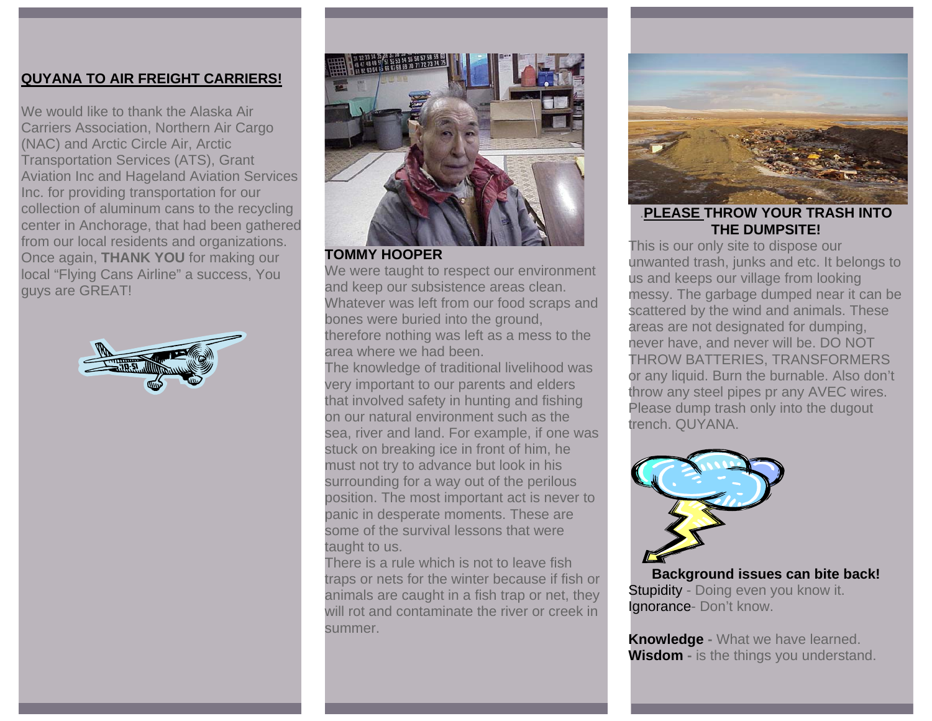### **QUYANA TO AIR FREIGHT CARRIERS!**

We would like to thank the Alaska Air Carriers Association, Northern Air Cargo (NAC) and Arctic Circle Air, Arctic Transportation Services (ATS), Grant Aviation Inc and Hageland Aviation Services Inc. for providing transportation for our collection of aluminum cans to the recycling center in Anchorage, that had been gathered from our local residents and organizations. Once again, **THANK YOU** for making our local "Flying Cans Airline" a success, You guys are GREAT!





**TOMMY HOOPER** 

We were taught to respect our environment and keep our subsistence areas clean. Whatever was left from our food scraps and bones were buried into the ground, therefore nothing was left as a mess to the area where we had been.

The knowledge of traditional livelihood was very important to our parents and elders that involved safety in hunting and fishing on our natural environment such as the sea, river and land. For example, if one was stuck on breaking ice in front of him, he must not try to advance but look in his surrounding for a way out of the perilous position. The most important act is never to panic in desperate moments. These are some of the survival lessons that were taught to us.

There is a rule which is not to leave fish traps or nets for the winter because if fish or animals are caught in a fish trap or net, they will rot and contaminate the river or creek in summer.



.**PLEASE THROW YOUR TRASH INTO THE DUMPSITE!** 

This is our only site to dispose our unwanted trash, junks and etc. It belongs to us and keeps our village from looking messy. The garbage dumped near it can be scattered by the wind and animals. These areas are not designated for dumping, never have, and never will be. DO NOT THROW BATTERIES, TRANSFORMERS or any liquid. Burn the burnable. Also don't throw any steel pipes pr any AVEC wires. Please dump trash only into the dugout trench. QUYANA.



**Background issues can bite back!**  Stupidity - Doing even you know it. Ignorance- Don't know.

**Knowledge -** What we have learned. **Wisdom -** is the things you understand.